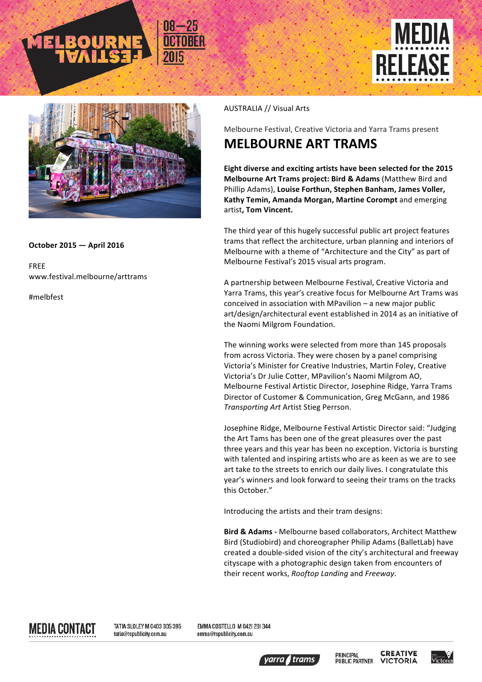



## **October 2015 — April 2016**

FREE www.festival.melbourne/arttrams

#melbfest

## AUSTRALIA // Visual Arts

Melbourne Festival, Creative Victoria and Yarra Trams present

## **MELBOURNE ART TRAMS**

Eight diverse and exciting artists have been selected for the 2015 **Melbourne Art Trams project: Bird & Adams** (Matthew Bird and Phillip Adams), Louise Forthun, Stephen Banham, James Voller, **Kathy Temin, Amanda Morgan, Martine Corompt** and emerging artist, Tom Vincent.

The third year of this hugely successful public art project features trams that reflect the architecture, urban planning and interiors of Melbourne with a theme of "Architecture and the City" as part of Melbourne Festival's 2015 visual arts program.

A partnership between Melbourne Festival, Creative Victoria and Yarra Trams, this year's creative focus for Melbourne Art Trams was conceived in association with MPavilion  $-$  a new major public art/design/architectural event established in 2014 as an initiative of the Naomi Milgrom Foundation.

The winning works were selected from more than 145 proposals from across Victoria. They were chosen by a panel comprising Victoria's Minister for Creative Industries, Martin Foley, Creative Victoria's Dr Julie Cotter, MPavilion's Naomi Milgrom AO, Melbourne Festival Artistic Director, Josephine Ridge, Yarra Trams Director of Customer & Communication, Greg McGann, and 1986 *Transporting Art* Artist Stieg Perrson.

Josephine Ridge, Melbourne Festival Artistic Director said: "Judging the Art Tams has been one of the great pleasures over the past three years and this year has been no exception. Victoria is bursting with talented and inspiring artists who are as keen as we are to see art take to the streets to enrich our daily lives. I congratulate this year's winners and look forward to seeing their trams on the tracks this October."

Introducing the artists and their tram designs:

**Bird & Adams -** Melbourne based collaborators, Architect Matthew Bird (Studiobird) and choreographer Philip Adams (BalletLab) have created a double-sided vision of the city's architectural and freeway cityscape with a photographic design taken from encounters of their recent works, *Rooftop Landing* and *Freeway*. 

MEDIA CONTACT

TATIA SLOLEY M 0403 305 395 tatia@tspublicity.com.au

EMMA COSTELLO M 0421 201344 emma@tspublicity.com.au